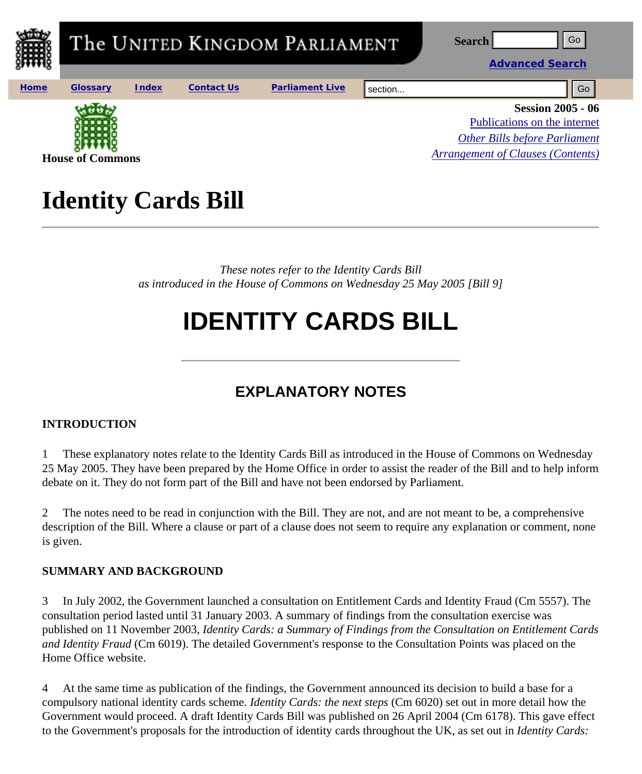

## **Identity Cards Bill**

*These notes refer to the Identity Cards Bill as introduced in the House of Commons on Wednesday 25 May 2005 [Bill 9]* 

# **IDENTITY CARDS BILL**

### **EXPLANATORY NOTES**

#### **INTRODUCTION**

1 These explanatory notes relate to the Identity Cards Bill as introduced in the House of Commons on Wednesday 25 May 2005. They have been prepared by the Home Office in order to assist the reader of the Bill and to help inform debate on it. They do not form part of the Bill and have not been endorsed by Parliament.

2 The notes need to be read in conjunction with the Bill. They are not, and are not meant to be, a comprehensive description of the Bill. Where a clause or part of a clause does not seem to require any explanation or comment, none is given.

#### **SUMMARY AND BACKGROUND**

3 In July 2002, the Government launched a consultation on Entitlement Cards and Identity Fraud (Cm 5557). The consultation period lasted until 31 January 2003. A summary of findings from the consultation exercise was published on 11 November 2003, *Identity Cards: a Summary of Findings from the Consultation on Entitlement Cards and Identity Fraud* (Cm 6019). The detailed Government's response to the Consultation Points was placed on the Home Office website.

4 At the same time as publication of the findings, the Government announced its decision to build a base for a compulsory national identity cards scheme. *Identity Cards: the next steps* (Cm 6020) set out in more detail how the Government would proceed. A draft Identity Cards Bill was published on 26 April 2004 (Cm 6178). This gave effect to the Government's proposals for the introduction of identity cards throughout the UK, as set out in *Identity Cards:*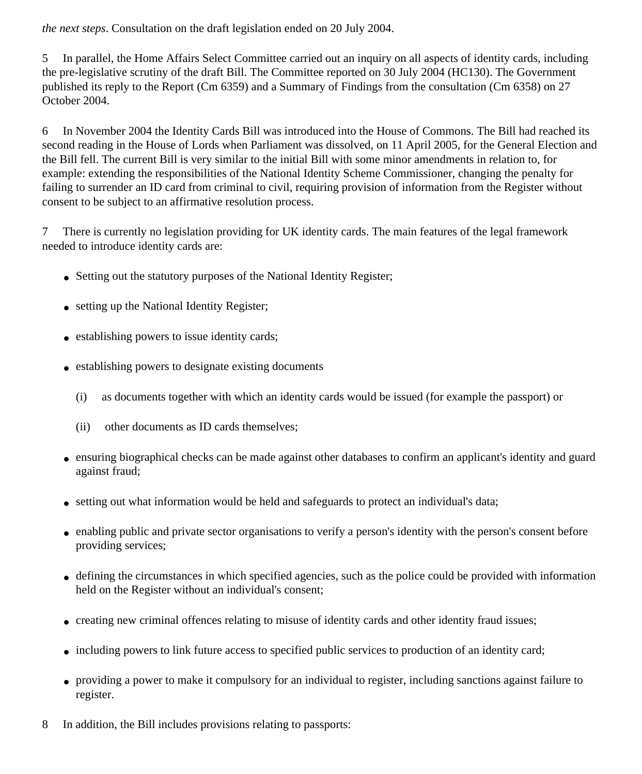*the next steps*. Consultation on the draft legislation ended on 20 July 2004.

5 In parallel, the Home Affairs Select Committee carried out an inquiry on all aspects of identity cards, including the pre-legislative scrutiny of the draft Bill. The Committee reported on 30 July 2004 (HC130). The Government published its reply to the Report (Cm 6359) and a Summary of Findings from the consultation (Cm 6358) on 27 October 2004.

6 In November 2004 the Identity Cards Bill was introduced into the House of Commons. The Bill had reached its second reading in the House of Lords when Parliament was dissolved, on 11 April 2005, for the General Election and the Bill fell. The current Bill is very similar to the initial Bill with some minor amendments in relation to, for example: extending the responsibilities of the National Identity Scheme Commissioner, changing the penalty for failing to surrender an ID card from criminal to civil, requiring provision of information from the Register without consent to be subject to an affirmative resolution process.

7 There is currently no legislation providing for UK identity cards. The main features of the legal framework needed to introduce identity cards are:

- Setting out the statutory purposes of the National Identity Register;
- setting up the National Identity Register;
- establishing powers to issue identity cards;
- establishing powers to designate existing documents
	- (i) as documents together with which an identity cards would be issued (for example the passport) or
	- (ii) other documents as ID cards themselves;
- ensuring biographical checks can be made against other databases to confirm an applicant's identity and guard against fraud;
- setting out what information would be held and safeguards to protect an individual's data;
- enabling public and private sector organisations to verify a person's identity with the person's consent before providing services;
- defining the circumstances in which specified agencies, such as the police could be provided with information held on the Register without an individual's consent;
- creating new criminal offences relating to misuse of identity cards and other identity fraud issues;
- including powers to link future access to specified public services to production of an identity card;
- providing a power to make it compulsory for an individual to register, including sanctions against failure to register.
- 8 In addition, the Bill includes provisions relating to passports: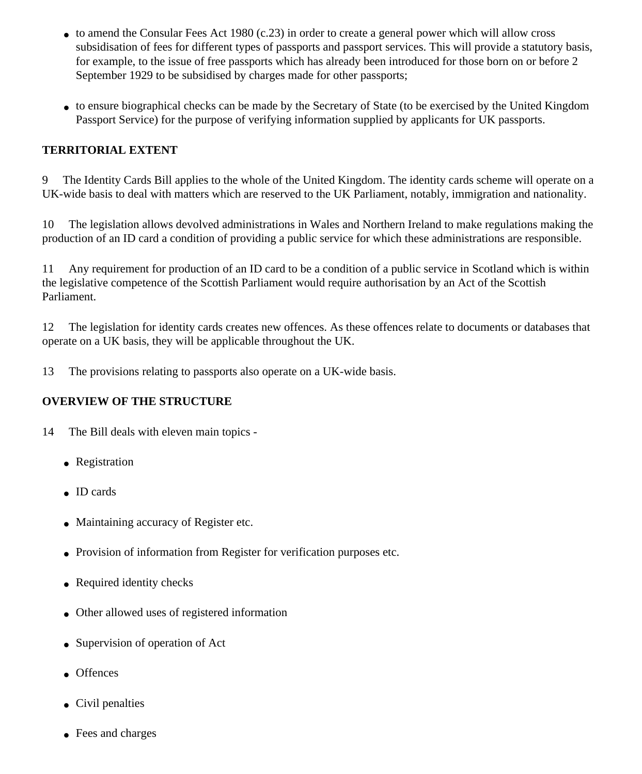- $\bullet$  to amend the Consular Fees Act 1980 (c.23) in order to create a general power which will allow cross subsidisation of fees for different types of passports and passport services. This will provide a statutory basis, for example, to the issue of free passports which has already been introduced for those born on or before 2 September 1929 to be subsidised by charges made for other passports;
- to ensure biographical checks can be made by the Secretary of State (to be exercised by the United Kingdom Passport Service) for the purpose of verifying information supplied by applicants for UK passports.

#### **TERRITORIAL EXTENT**

9 The Identity Cards Bill applies to the whole of the United Kingdom. The identity cards scheme will operate on a UK-wide basis to deal with matters which are reserved to the UK Parliament, notably, immigration and nationality.

10 The legislation allows devolved administrations in Wales and Northern Ireland to make regulations making the production of an ID card a condition of providing a public service for which these administrations are responsible.

11 Any requirement for production of an ID card to be a condition of a public service in Scotland which is within the legislative competence of the Scottish Parliament would require authorisation by an Act of the Scottish Parliament.

12 The legislation for identity cards creates new offences. As these offences relate to documents or databases that operate on a UK basis, they will be applicable throughout the UK.

13 The provisions relating to passports also operate on a UK-wide basis.

#### **OVERVIEW OF THE STRUCTURE**

- 14 The Bill deals with eleven main topics
	- Registration
	- ID cards
	- Maintaining accuracy of Register etc.
	- Provision of information from Register for verification purposes etc.
	- Required identity checks
	- Other allowed uses of registered information
	- Supervision of operation of Act
	- Offences
	- Civil penalties
	- Fees and charges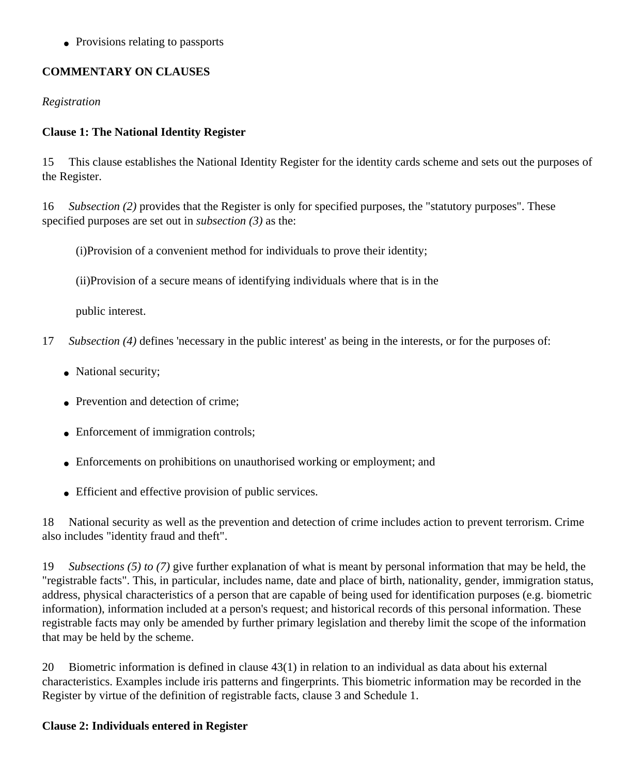• Provisions relating to passports

#### **COMMENTARY ON CLAUSES**

*Registration*

#### **Clause 1: The National Identity Register**

15 This clause establishes the National Identity Register for the identity cards scheme and sets out the purposes of the Register.

16 *Subsection (2)* provides that the Register is only for specified purposes, the "statutory purposes". These specified purposes are set out in *subsection (3)* as the:

(i)Provision of a convenient method for individuals to prove their identity;

(ii)Provision of a secure means of identifying individuals where that is in the

public interest.

- 17 *Subsection (4)* defines 'necessary in the public interest' as being in the interests, or for the purposes of:
	- National security;
	- Prevention and detection of crime;
	- Enforcement of immigration controls;
	- Enforcements on prohibitions on unauthorised working or employment; and
	- Efficient and effective provision of public services.

18 National security as well as the prevention and detection of crime includes action to prevent terrorism. Crime also includes "identity fraud and theft".

19 *Subsections (5) to (7)* give further explanation of what is meant by personal information that may be held, the "registrable facts". This, in particular, includes name, date and place of birth, nationality, gender, immigration status, address, physical characteristics of a person that are capable of being used for identification purposes (e.g. biometric information), information included at a person's request; and historical records of this personal information. These registrable facts may only be amended by further primary legislation and thereby limit the scope of the information that may be held by the scheme.

20 Biometric information is defined in clause 43(1) in relation to an individual as data about his external characteristics. Examples include iris patterns and fingerprints. This biometric information may be recorded in the Register by virtue of the definition of registrable facts, clause 3 and Schedule 1.

#### **Clause 2: Individuals entered in Register**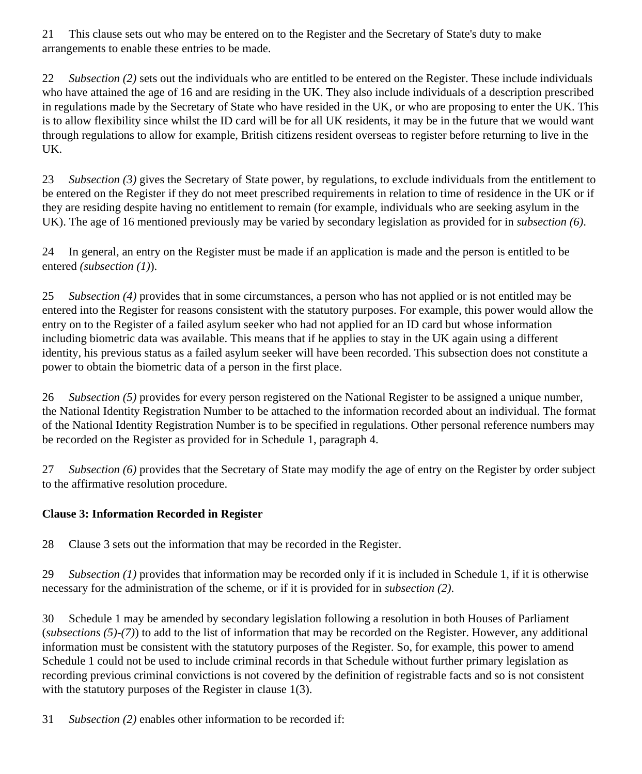21 This clause sets out who may be entered on to the Register and the Secretary of State's duty to make arrangements to enable these entries to be made.

22 *Subsection (2)* sets out the individuals who are entitled to be entered on the Register. These include individuals who have attained the age of 16 and are residing in the UK. They also include individuals of a description prescribed in regulations made by the Secretary of State who have resided in the UK, or who are proposing to enter the UK. This is to allow flexibility since whilst the ID card will be for all UK residents, it may be in the future that we would want through regulations to allow for example, British citizens resident overseas to register before returning to live in the UK.

23 *Subsection (3)* gives the Secretary of State power, by regulations, to exclude individuals from the entitlement to be entered on the Register if they do not meet prescribed requirements in relation to time of residence in the UK or if they are residing despite having no entitlement to remain (for example, individuals who are seeking asylum in the UK). The age of 16 mentioned previously may be varied by secondary legislation as provided for in *subsection (6)*.

24 In general, an entry on the Register must be made if an application is made and the person is entitled to be entered *(subsection (1)*).

25 *Subsection (4)* provides that in some circumstances, a person who has not applied or is not entitled may be entered into the Register for reasons consistent with the statutory purposes. For example, this power would allow the entry on to the Register of a failed asylum seeker who had not applied for an ID card but whose information including biometric data was available. This means that if he applies to stay in the UK again using a different identity, his previous status as a failed asylum seeker will have been recorded. This subsection does not constitute a power to obtain the biometric data of a person in the first place.

26 *Subsection (5)* provides for every person registered on the National Register to be assigned a unique number, the National Identity Registration Number to be attached to the information recorded about an individual. The format of the National Identity Registration Number is to be specified in regulations. Other personal reference numbers may be recorded on the Register as provided for in Schedule 1, paragraph 4.

27 *Subsection (6)* provides that the Secretary of State may modify the age of entry on the Register by order subject to the affirmative resolution procedure.

#### **Clause 3: Information Recorded in Register**

28 Clause 3 sets out the information that may be recorded in the Register.

29 *Subsection (1)* provides that information may be recorded only if it is included in Schedule 1, if it is otherwise necessary for the administration of the scheme, or if it is provided for in *subsection (2)*.

30 Schedule 1 may be amended by secondary legislation following a resolution in both Houses of Parliament (*subsections (5)-(7)*) to add to the list of information that may be recorded on the Register. However, any additional information must be consistent with the statutory purposes of the Register. So, for example, this power to amend Schedule 1 could not be used to include criminal records in that Schedule without further primary legislation as recording previous criminal convictions is not covered by the definition of registrable facts and so is not consistent with the statutory purposes of the Register in clause 1(3).

31 *Subsection (2)* enables other information to be recorded if: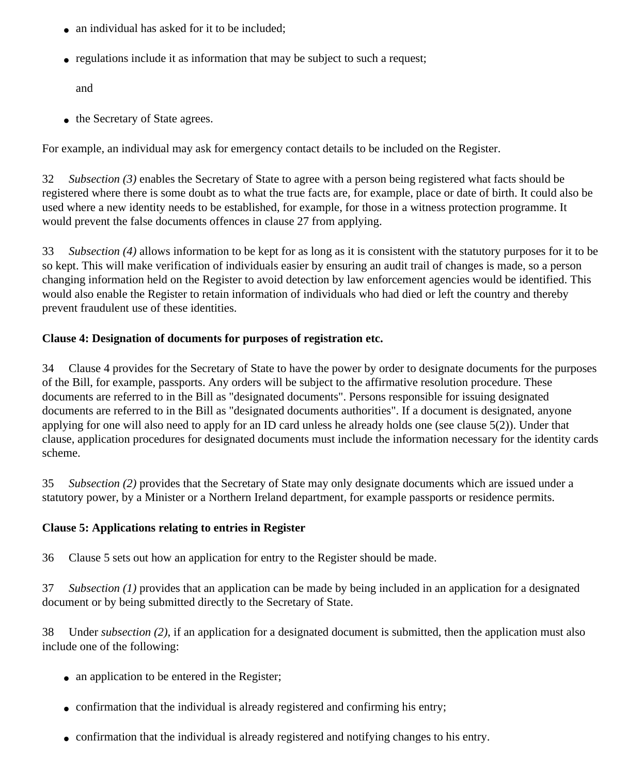- an individual has asked for it to be included;
- regulations include it as information that may be subject to such a request;

and

• the Secretary of State agrees.

For example, an individual may ask for emergency contact details to be included on the Register.

32 *Subsection (3)* enables the Secretary of State to agree with a person being registered what facts should be registered where there is some doubt as to what the true facts are, for example, place or date of birth. It could also be used where a new identity needs to be established, for example, for those in a witness protection programme. It would prevent the false documents offences in clause 27 from applying.

33 *Subsection (4)* allows information to be kept for as long as it is consistent with the statutory purposes for it to be so kept. This will make verification of individuals easier by ensuring an audit trail of changes is made, so a person changing information held on the Register to avoid detection by law enforcement agencies would be identified. This would also enable the Register to retain information of individuals who had died or left the country and thereby prevent fraudulent use of these identities.

#### **Clause 4: Designation of documents for purposes of registration etc.**

34 Clause 4 provides for the Secretary of State to have the power by order to designate documents for the purposes of the Bill, for example, passports. Any orders will be subject to the affirmative resolution procedure. These documents are referred to in the Bill as "designated documents". Persons responsible for issuing designated documents are referred to in the Bill as "designated documents authorities". If a document is designated, anyone applying for one will also need to apply for an ID card unless he already holds one (see clause 5(2)). Under that clause, application procedures for designated documents must include the information necessary for the identity cards scheme.

35 *Subsection (2)* provides that the Secretary of State may only designate documents which are issued under a statutory power, by a Minister or a Northern Ireland department, for example passports or residence permits.

#### **Clause 5: Applications relating to entries in Register**

36 Clause 5 sets out how an application for entry to the Register should be made.

37 *Subsection (1)* provides that an application can be made by being included in an application for a designated document or by being submitted directly to the Secretary of State.

38 Under *subsection (2)*, if an application for a designated document is submitted, then the application must also include one of the following:

- an application to be entered in the Register;
- confirmation that the individual is already registered and confirming his entry;
- confirmation that the individual is already registered and notifying changes to his entry.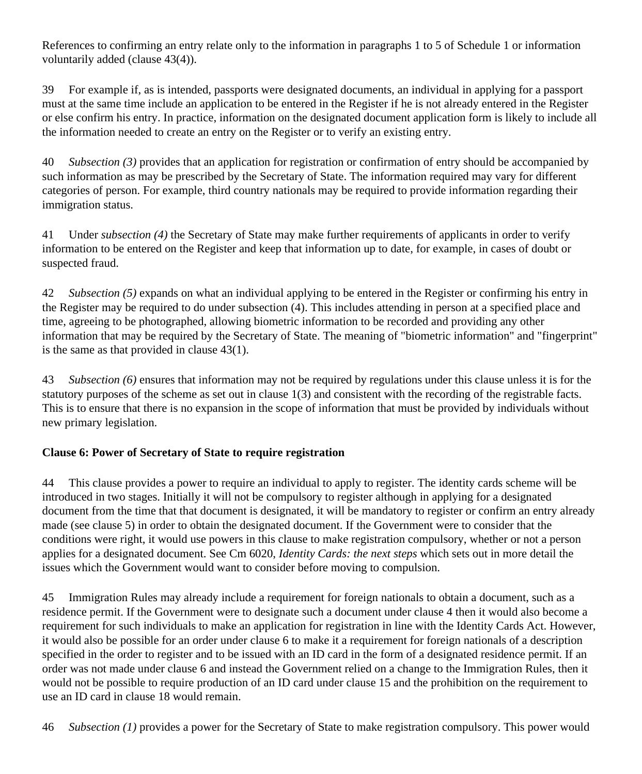References to confirming an entry relate only to the information in paragraphs 1 to 5 of Schedule 1 or information voluntarily added (clause 43(4)).

39 For example if, as is intended, passports were designated documents, an individual in applying for a passport must at the same time include an application to be entered in the Register if he is not already entered in the Register or else confirm his entry. In practice, information on the designated document application form is likely to include all the information needed to create an entry on the Register or to verify an existing entry.

40 *Subsection (3)* provides that an application for registration or confirmation of entry should be accompanied by such information as may be prescribed by the Secretary of State. The information required may vary for different categories of person. For example, third country nationals may be required to provide information regarding their immigration status.

41 Under *subsection (4)* the Secretary of State may make further requirements of applicants in order to verify information to be entered on the Register and keep that information up to date, for example, in cases of doubt or suspected fraud.

42 *Subsection (5)* expands on what an individual applying to be entered in the Register or confirming his entry in the Register may be required to do under subsection (4). This includes attending in person at a specified place and time, agreeing to be photographed, allowing biometric information to be recorded and providing any other information that may be required by the Secretary of State. The meaning of "biometric information" and "fingerprint" is the same as that provided in clause 43(1).

43 *Subsection (6)* ensures that information may not be required by regulations under this clause unless it is for the statutory purposes of the scheme as set out in clause 1(3) and consistent with the recording of the registrable facts. This is to ensure that there is no expansion in the scope of information that must be provided by individuals without new primary legislation.

#### **Clause 6: Power of Secretary of State to require registration**

44 This clause provides a power to require an individual to apply to register. The identity cards scheme will be introduced in two stages. Initially it will not be compulsory to register although in applying for a designated document from the time that that document is designated, it will be mandatory to register or confirm an entry already made (see clause 5) in order to obtain the designated document. If the Government were to consider that the conditions were right, it would use powers in this clause to make registration compulsory, whether or not a person applies for a designated document. See Cm 6020, *Identity Cards: the next steps* which sets out in more detail the issues which the Government would want to consider before moving to compulsion.

45 Immigration Rules may already include a requirement for foreign nationals to obtain a document, such as a residence permit. If the Government were to designate such a document under clause 4 then it would also become a requirement for such individuals to make an application for registration in line with the Identity Cards Act. However, it would also be possible for an order under clause 6 to make it a requirement for foreign nationals of a description specified in the order to register and to be issued with an ID card in the form of a designated residence permit. If an order was not made under clause 6 and instead the Government relied on a change to the Immigration Rules, then it would not be possible to require production of an ID card under clause 15 and the prohibition on the requirement to use an ID card in clause 18 would remain.

46 *Subsection (1)* provides a power for the Secretary of State to make registration compulsory. This power would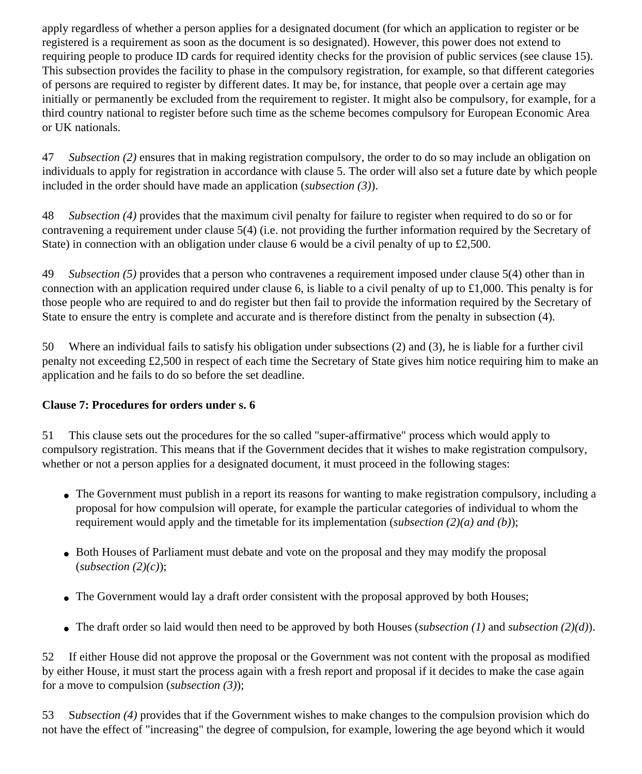apply regardless of whether a person applies for a designated document (for which an application to register or be registered is a requirement as soon as the document is so designated). However, this power does not extend to requiring people to produce ID cards for required identity checks for the provision of public services (see clause 15). This subsection provides the facility to phase in the compulsory registration, for example, so that different categories of persons are required to register by different dates. It may be, for instance, that people over a certain age may initially or permanently be excluded from the requirement to register. It might also be compulsory, for example, for a third country national to register before such time as the scheme becomes compulsory for European Economic Area or UK nationals.

47 *Subsection (2)* ensures that in making registration compulsory, the order to do so may include an obligation on individuals to apply for registration in accordance with clause 5. The order will also set a future date by which people included in the order should have made an application (*subsection (3)*).

48 *Subsection (4)* provides that the maximum civil penalty for failure to register when required to do so or for contravening a requirement under clause 5(4) (i.e. not providing the further information required by the Secretary of State) in connection with an obligation under clause 6 would be a civil penalty of up to £2,500.

49 *Subsection (5)* provides that a person who contravenes a requirement imposed under clause 5(4) other than in connection with an application required under clause 6, is liable to a civil penalty of up to £1,000. This penalty is for those people who are required to and do register but then fail to provide the information required by the Secretary of State to ensure the entry is complete and accurate and is therefore distinct from the penalty in subsection (4).

50 Where an individual fails to satisfy his obligation under subsections (2) and (3), he is liable for a further civil penalty not exceeding £2,500 in respect of each time the Secretary of State gives him notice requiring him to make an application and he fails to do so before the set deadline.

#### **Clause 7: Procedures for orders under s. 6**

51 This clause sets out the procedures for the so called "super-affirmative" process which would apply to compulsory registration. This means that if the Government decides that it wishes to make registration compulsory, whether or not a person applies for a designated document, it must proceed in the following stages:

- The Government must publish in a report its reasons for wanting to make registration compulsory, including a proposal for how compulsion will operate, for example the particular categories of individual to whom the requirement would apply and the timetable for its implementation (*subsection (2)(a) and (b)*);
- Both Houses of Parliament must debate and vote on the proposal and they may modify the proposal (*subsection (2)(c)*);
- The Government would lay a draft order consistent with the proposal approved by both Houses;
- The draft order so laid would then need to be approved by both Houses (*subsection (1)* and *subsection (2)(d)*).

52 If either House did not approve the proposal or the Government was not content with the proposal as modified by either House, it must start the process again with a fresh report and proposal if it decides to make the case again for a move to compulsion (*subsection (3)*);

53 S*ubsection (4)* provides that if the Government wishes to make changes to the compulsion provision which do not have the effect of "increasing" the degree of compulsion, for example, lowering the age beyond which it would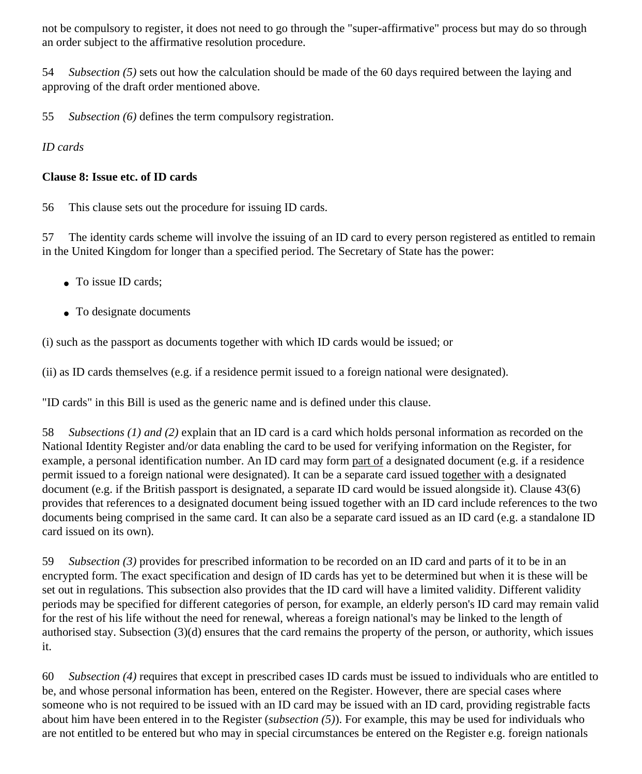not be compulsory to register, it does not need to go through the "super-affirmative" process but may do so through an order subject to the affirmative resolution procedure.

54 *Subsection (5)* sets out how the calculation should be made of the 60 days required between the laying and approving of the draft order mentioned above.

55 *Subsection (6)* defines the term compulsory registration.

#### *ID cards*

#### **Clause 8: Issue etc. of ID cards**

56 This clause sets out the procedure for issuing ID cards.

57 The identity cards scheme will involve the issuing of an ID card to every person registered as entitled to remain in the United Kingdom for longer than a specified period. The Secretary of State has the power:

- To issue ID cards:
- To designate documents

(i) such as the passport as documents together with which ID cards would be issued; or

(ii) as ID cards themselves (e.g. if a residence permit issued to a foreign national were designated).

"ID cards" in this Bill is used as the generic name and is defined under this clause.

58 *Subsections (1) and (2)* explain that an ID card is a card which holds personal information as recorded on the National Identity Register and/or data enabling the card to be used for verifying information on the Register, for example, a personal identification number. An ID card may form part of a designated document (e.g. if a residence permit issued to a foreign national were designated). It can be a separate card issued together with a designated document (e.g. if the British passport is designated, a separate ID card would be issued alongside it). Clause 43(6) provides that references to a designated document being issued together with an ID card include references to the two documents being comprised in the same card. It can also be a separate card issued as an ID card (e.g. a standalone ID card issued on its own).

59 *Subsection (3)* provides for prescribed information to be recorded on an ID card and parts of it to be in an encrypted form. The exact specification and design of ID cards has yet to be determined but when it is these will be set out in regulations. This subsection also provides that the ID card will have a limited validity. Different validity periods may be specified for different categories of person, for example, an elderly person's ID card may remain valid for the rest of his life without the need for renewal, whereas a foreign national's may be linked to the length of authorised stay. Subsection (3)(d) ensures that the card remains the property of the person, or authority, which issues it.

60 *Subsection (4)* requires that except in prescribed cases ID cards must be issued to individuals who are entitled to be, and whose personal information has been, entered on the Register. However, there are special cases where someone who is not required to be issued with an ID card may be issued with an ID card, providing registrable facts about him have been entered in to the Register (*subsection (5)*). For example, this may be used for individuals who are not entitled to be entered but who may in special circumstances be entered on the Register e.g. foreign nationals